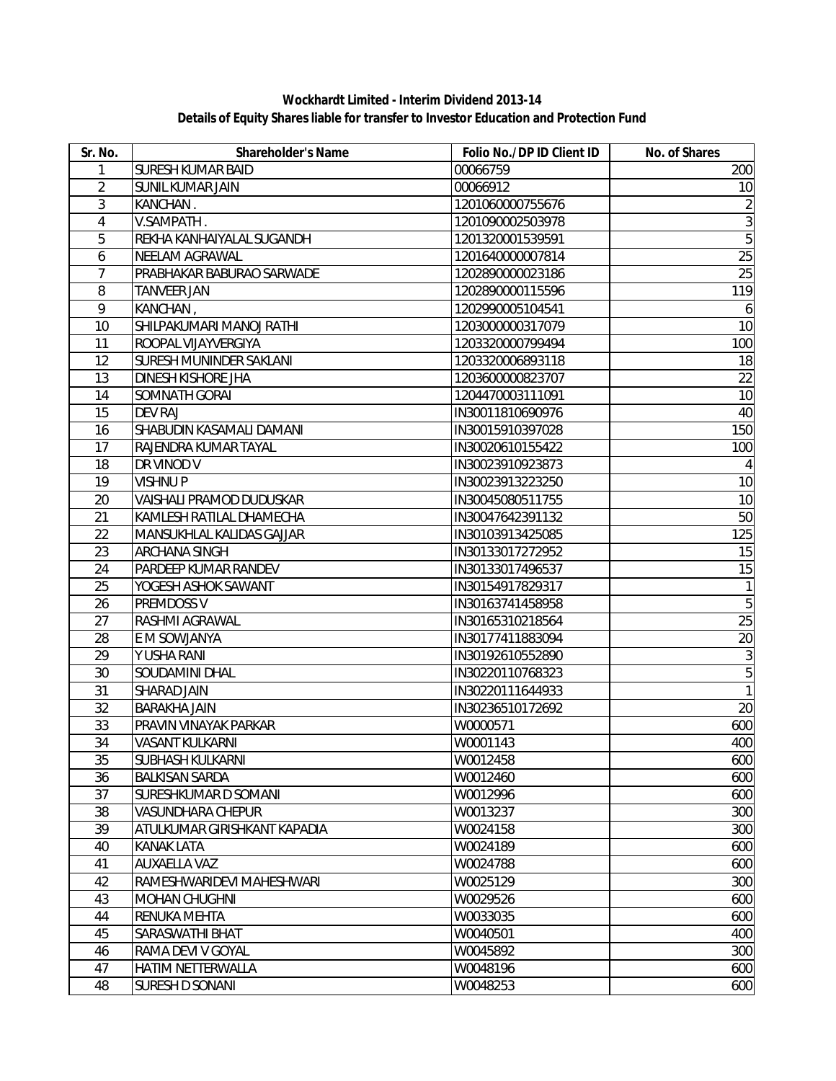**Details of Equity Shares liable for transfer to Investor Education and Protection Fund Wockhardt Limited - Interim Dividend 2013-14**

| Sr. No.        | Shareholder's Name           | Folio No./DP ID Client ID | No. of Shares  |
|----------------|------------------------------|---------------------------|----------------|
| 1              | <b>SURESH KUMAR BAID</b>     | 00066759                  | 200            |
| $\overline{2}$ | <b>SUNIL KUMAR JAIN</b>      | 00066912                  | 10             |
| 3              | KANCHAN.                     | 1201060000755676          | $\overline{2}$ |
| 4              | V.SAMPATH.                   | 1201090002503978          | $\overline{3}$ |
| 5              | REKHA KANHAIYALAL SUGANDH    | 1201320001539591          | $\overline{5}$ |
| 6              | NEELAM AGRAWAL               | 1201640000007814          | 25             |
| $\overline{7}$ | PRABHAKAR BABURAO SARWADE    | 1202890000023186          | 25             |
| 8              | <b>TANVEER JAN</b>           | 1202890000115596          | 119            |
| $\overline{9}$ | KANCHAN,                     | 1202990005104541          | 6              |
| 10             | SHILPAKUMARI MANOJ RATHI     | 1203000000317079          | 10             |
| 11             | ROOPAL VIJAYVERGIYA          | 1203320000799494          | 100            |
| 12             | SURESH MUNINDER SAKLANI      | 1203320006893118          | 18             |
| 13             | DINESH KISHORE JHA           | 1203600000823707          | 22             |
| 14             | SOMNATH GORAI                | 1204470003111091          | 10             |
| 15             | <b>DEV RAJ</b>               | IN30011810690976          | 40             |
| 16             | SHABUDIN KASAMALI DAMANI     | IN30015910397028          | 150            |
| 17             | RAJENDRA KUMAR TAYAL         | IN30020610155422          | 100            |
| 18             | DR VINOD V                   | IN30023910923873          | 4              |
| 19             | <b>VISHNUP</b>               | IN30023913223250          | 10             |
| 20             | VAISHALI PRAMOD DUDUSKAR     | IN30045080511755          | 10             |
| 21             | KAMLESH RATILAL DHAMECHA     | IN30047642391132          | 50             |
| 22             | MANSUKHLAL KALIDAS GAJJAR    | IN30103913425085          | 125            |
| 23             | ARCHANA SINGH                | IN30133017272952          | 15             |
| 24             | PARDEEP KUMAR RANDEV         | IN30133017496537          | 15             |
| 25             | YOGESH ASHOK SAWANT          | IN30154917829317          | 1              |
| 26             | PREMDOSS V                   | IN30163741458958          | $\overline{5}$ |
| 27             | RASHMI AGRAWAL               | IN30165310218564          | 25             |
| 28             | E M SOWJANYA                 | IN30177411883094          | 20             |
| 29             | Y USHA RANI                  | IN30192610552890          | $\sqrt{3}$     |
| 30             | SOUDAMINI DHAL               | IN30220110768323          | $\overline{5}$ |
| 31             | SHARAD JAIN                  | IN30220111644933          | $\overline{1}$ |
| 32             | <b>BARAKHA JAIN</b>          | IN30236510172692          | 20             |
| 33             | PRAVIN VINAYAK PARKAR        | W0000571                  | 600            |
| 34             | <b>VASANT KULKARNI</b>       | W0001143                  | 400            |
| 35             | SUBHASH KULKARNI             | W0012458                  | 600            |
| 36             | <b>BALKISAN SARDA</b>        | W0012460                  | 600            |
| 37             | SURESHKUMAR D SOMANI         | W0012996                  | 600            |
| 38             | VASUNDHARA CHEPUR            | W0013237                  | 300            |
| 39             | ATULKUMAR GIRISHKANT KAPADIA | W0024158                  | 300            |
| 40             | <b>KANAK LATA</b>            | W0024189                  | 600            |
| 41             | AUXAELLA VAZ                 | W0024788                  | 600            |
| 42             | RAMESHWARIDEVI MAHESHWARI    | W0025129                  | 300            |
| 43             | <b>MOHAN CHUGHNI</b>         | W0029526                  | 600            |
| 44             | RENUKA MEHTA                 | W0033035                  | 600            |
| 45             | SARASWATHI BHAT              | W0040501                  | 400            |
| 46             | RAMA DEVI V GOYAL            | W0045892                  | 300            |
| 47             | HATIM NETTERWALLA            | W0048196                  | 600            |
| 48             | SURESH D SONANI              | W0048253                  | 600            |